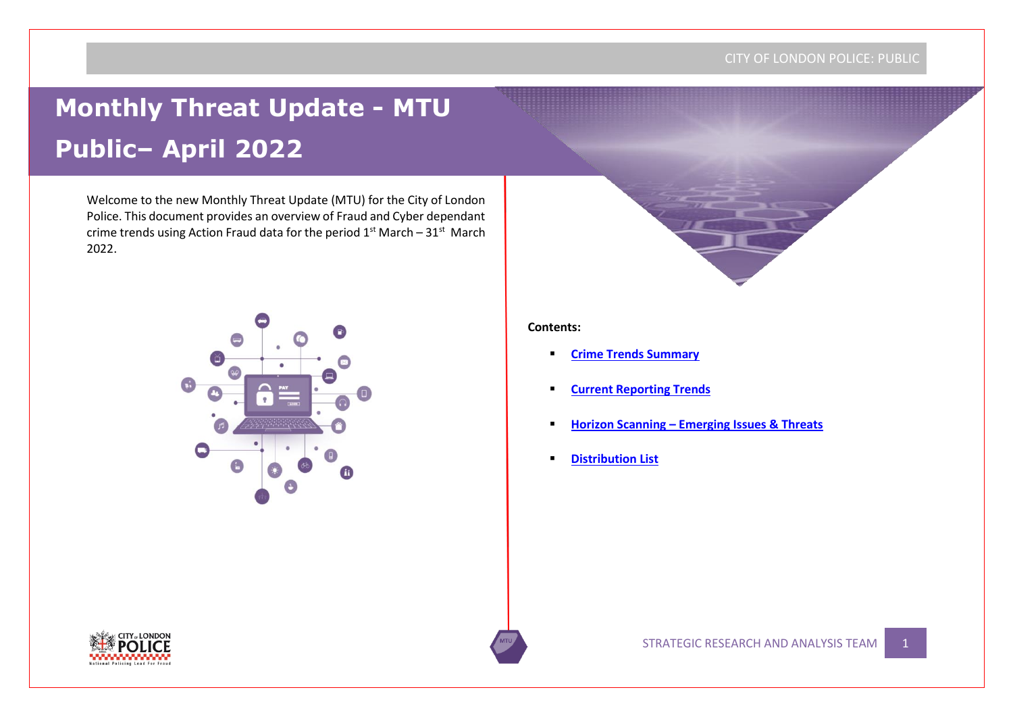# **Monthly Threat Update - MTU Public– April 2022**

Welcome to the new Monthly Threat Update (MTU) for the City of London Police. This document provides an overview of Fraud and Cyber dependant crime trends using Action Fraud data for the period  $1<sup>st</sup>$  March – 31 $<sup>st</sup>$  March</sup> 2022.



#### **Contents:**

- **[Crime Trends Summary](#page-1-0)**
- **Current Reporting Trends**
- **Horizon Scanning – Emerging Issues & Threats**
- **Distribution List**

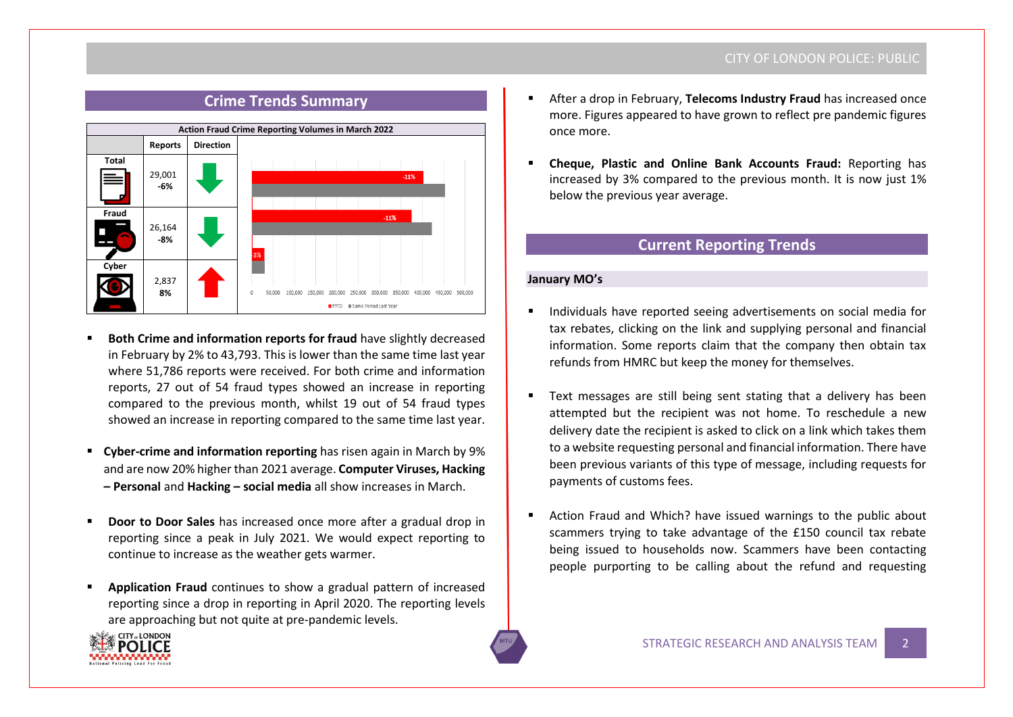<span id="page-1-0"></span>

# **Crime Trends Summary**

- **Both Crime and information reports for fraud have slightly decreased** in February by 2% to 43,793. This is lower than the same time last year where 51,786 reports were received. For both crime and information reports, 27 out of 54 fraud types showed an increase in reporting compared to the previous month, whilst 19 out of 54 fraud types showed an increase in reporting compared to the same time last year.
- **Cyber-crime and information reporting** has risen again in March by 9% and are now 20% higher than 2021 average. **Computer Viruses, Hacking – Personal** and **Hacking – social media** all show increases in March.
- **Door to Door Sales** has increased once more after a gradual drop in reporting since a peak in July 2021. We would expect reporting to continue to increase as the weather gets warmer.
- **Application Fraud** continues to show a gradual pattern of increased reporting since a drop in reporting in April 2020. The reporting levels are approaching but not quite at pre-pandemic levels.



- After a drop in February, **Telecoms Industry Fraud** has increased once more. Figures appeared to have grown to reflect pre pandemic figures once more.
- **Cheque, Plastic and Online Bank Accounts Fraud: Reporting has** increased by 3% compared to the previous month. It is now just 1% below the previous year average.

# **Current Reporting Trends**

## **January MO's**

- Individuals have reported seeing advertisements on social media for tax rebates, clicking on the link and supplying personal and financial information. Some reports claim that the company then obtain tax refunds from HMRC but keep the money for themselves.
- Text messages are still being sent stating that a delivery has been attempted but the recipient was not home. To reschedule a new delivery date the recipient is asked to click on a link which takes them to a website requesting personal and financial information. There have been previous variants of this type of message, including requests for payments of customs fees.
- Action Fraud and Which? have issued warnings to the public about scammers trying to take advantage of the £150 council tax rebate being issued to households now. Scammers have been contacting people purporting to be calling about the refund and requesting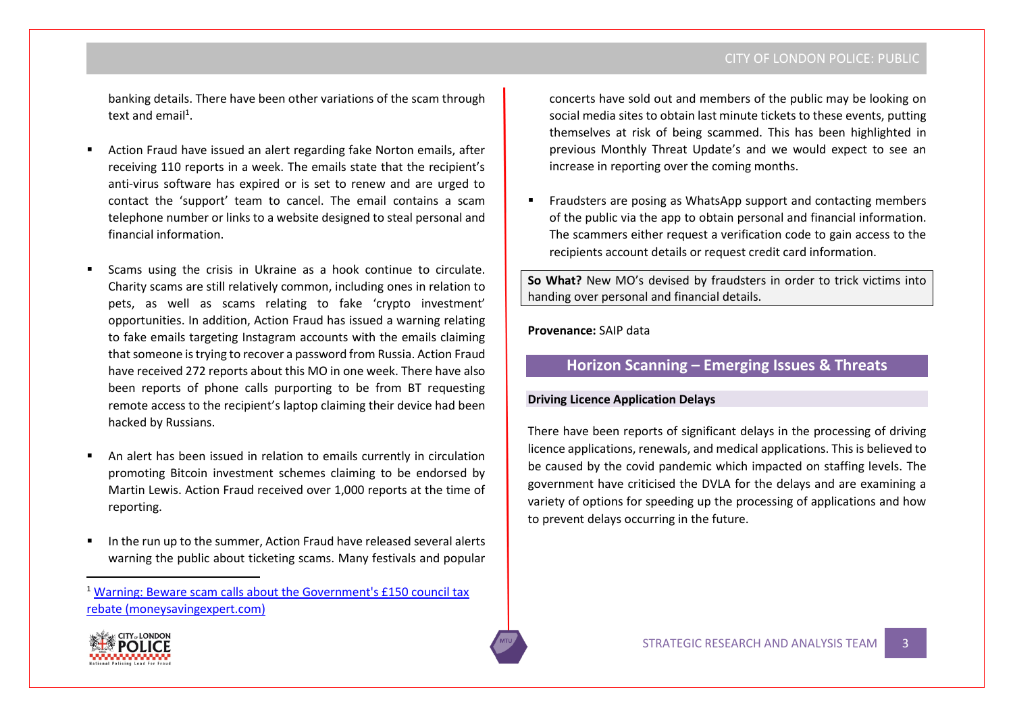banking details. There have been other variations of the scam through text and email<sup>1</sup>.

- Action Fraud have issued an alert regarding fake Norton emails, after receiving 110 reports in a week. The emails state that the recipient's anti-virus software has expired or is set to renew and are urged to contact the 'support' team to cancel. The email contains a scam telephone number or links to a website designed to steal personal and financial information.
- Scams using the crisis in Ukraine as a hook continue to circulate. Charity scams are still relatively common, including ones in relation to pets, as well as scams relating to fake 'crypto investment' opportunities. In addition, Action Fraud has issued a warning relating to fake emails targeting Instagram accounts with the emails claiming that someone is trying to recover a password from Russia. Action Fraud have received 272 reports about this MO in one week. There have also been reports of phone calls purporting to be from BT requesting remote access to the recipient's laptop claiming their device had been hacked by Russians.
- An alert has been issued in relation to emails currently in circulation promoting Bitcoin investment schemes claiming to be endorsed by Martin Lewis. Action Fraud received over 1,000 reports at the time of reporting.
- In the run up to the summer, Action Fraud have released several alerts warning the public about ticketing scams. Many festivals and popular

concerts have sold out and members of the public may be looking on social media sites to obtain last minute tickets to these events, putting themselves at risk of being scammed. This has been highlighted in previous Monthly Threat Update's and we would expect to see an increase in reporting over the coming months.

▪ Fraudsters are posing as WhatsApp support and contacting members of the public via the app to obtain personal and financial information. The scammers either request a verification code to gain access to the recipients account details or request credit card information.

**So What?** New MO's devised by fraudsters in order to trick victims into handing over personal and financial details.

**Provenance:** SAIP data

# **Horizon Scanning – Emerging Issues & Threats**

## **Driving Licence Application Delays**

There have been reports of significant delays in the processing of driving licence applications, renewals, and medical applications. This is believed to be caused by the covid pandemic which impacted on staffing levels. The government have criticised the DVLA for the delays and are examining a variety of options for speeding up the processing of applications and how to prevent delays occurring in the future.



<sup>1</sup> [Warning: Beware scam calls about the Government's £150 council tax](https://www.moneysavingexpert.com/news/2022/04/warning--councils-will-never-call-to-ask-for-bank-details/)  [rebate \(moneysavingexpert.com\)](https://www.moneysavingexpert.com/news/2022/04/warning--councils-will-never-call-to-ask-for-bank-details/)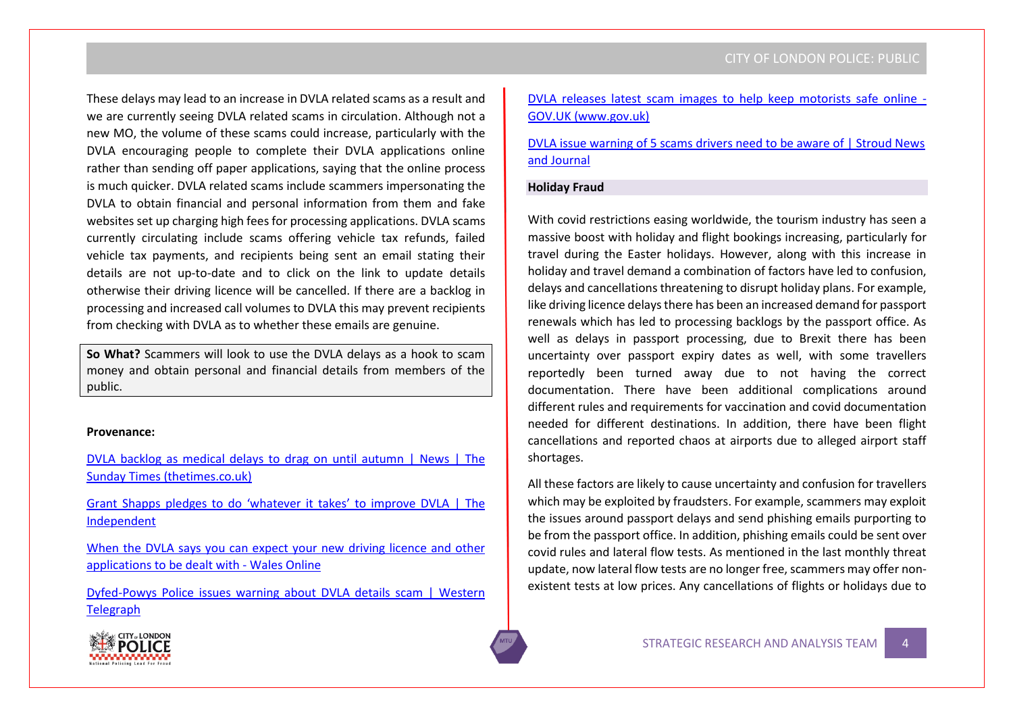These delays may lead to an increase in DVLA related scams as a result and we are currently seeing DVLA related scams in circulation. Although not a new MO, the volume of these scams could increase, particularly with the DVLA encouraging people to complete their DVLA applications online rather than sending off paper applications, saying that the online process is much quicker. DVLA related scams include scammers impersonating the DVLA to obtain financial and personal information from them and fake websites set up charging high fees for processing applications. DVLA scams currently circulating include scams offering vehicle tax refunds, failed vehicle tax payments, and recipients being sent an email stating their details are not up-to-date and to click on the link to update details otherwise their driving licence will be cancelled. If there are a backlog in processing and increased call volumes to DVLA this may prevent recipients from checking with DVLA as to whether these emails are genuine.

**So What?** Scammers will look to use the DVLA delays as a hook to scam money and obtain personal and financial details from members of the public.

#### **Provenance:**

[DVLA backlog as medical delays to drag on until autumn | News | The](https://www.thetimes.co.uk/article/dvla-backlog-as-medical-delays-to-drag-on-until-autumn-jhtm27xm3)  [Sunday Times \(thetimes.co.uk\)](https://www.thetimes.co.uk/article/dvla-backlog-as-medical-delays-to-drag-on-until-autumn-jhtm27xm3)

[Grant Shapps pledges to do 'whatever it takes' to improve DVLA | The](https://www.independent.co.uk/news/uk/grant-shapps-dvla-government-transport-secretary-prime-minister-b2066468.html)  [Independent](https://www.independent.co.uk/news/uk/grant-shapps-dvla-government-transport-secretary-prime-minister-b2066468.html)

[When the DVLA says you can expect your new driving licence and other](https://www.walesonline.co.uk/news/wales-news/dvla-driving-licence-application-dealt-23759494)  [applications to be dealt with -](https://www.walesonline.co.uk/news/wales-news/dvla-driving-licence-application-dealt-23759494) Wales Online

[Dyfed-Powys Police issues warning about DVLA details scam | Western](https://www.westerntelegraph.co.uk/news/20065786.dyfed-powys-police-issues-warning-dvla-details-scam/)  **[Telegraph](https://www.westerntelegraph.co.uk/news/20065786.dyfed-powys-police-issues-warning-dvla-details-scam/)** 

[DVLA releases latest scam images to help keep motorists safe online -](https://www.gov.uk/government/news/dvla-releases-latest-scam-images-to-help-keep-motorists-safe-online) [GOV.UK \(www.gov.uk\)](https://www.gov.uk/government/news/dvla-releases-latest-scam-images-to-help-keep-motorists-safe-online)

[DVLA issue warning of 5 scams drivers need to be aware of | Stroud News](https://www.stroudnewsandjournal.co.uk/news/20003232.dvla-issue-warning-5-scams-drivers-need-aware/)  [and Journal](https://www.stroudnewsandjournal.co.uk/news/20003232.dvla-issue-warning-5-scams-drivers-need-aware/)

## **Holiday Fraud**

With covid restrictions easing worldwide, the tourism industry has seen a massive boost with holiday and flight bookings increasing, particularly for travel during the Easter holidays. However, along with this increase in holiday and travel demand a combination of factors have led to confusion, delays and cancellations threatening to disrupt holiday plans. For example, like driving licence delaysthere has been an increased demand for passport renewals which has led to processing backlogs by the passport office. As well as delays in passport processing, due to Brexit there has been uncertainty over passport expiry dates as well, with some travellers reportedly been turned away due to not having the correct documentation. There have been additional complications around different rules and requirements for vaccination and covid documentation needed for different destinations. In addition, there have been flight cancellations and reported chaos at airports due to alleged airport staff shortages.

All these factors are likely to cause uncertainty and confusion for travellers which may be exploited by fraudsters. For example, scammers may exploit the issues around passport delays and send phishing emails purporting to be from the passport office. In addition, phishing emails could be sent over covid rules and lateral flow tests. As mentioned in the last monthly threat update, now lateral flow tests are no longer free, scammers may offer nonexistent tests at low prices. Any cancellations of flights or holidays due to

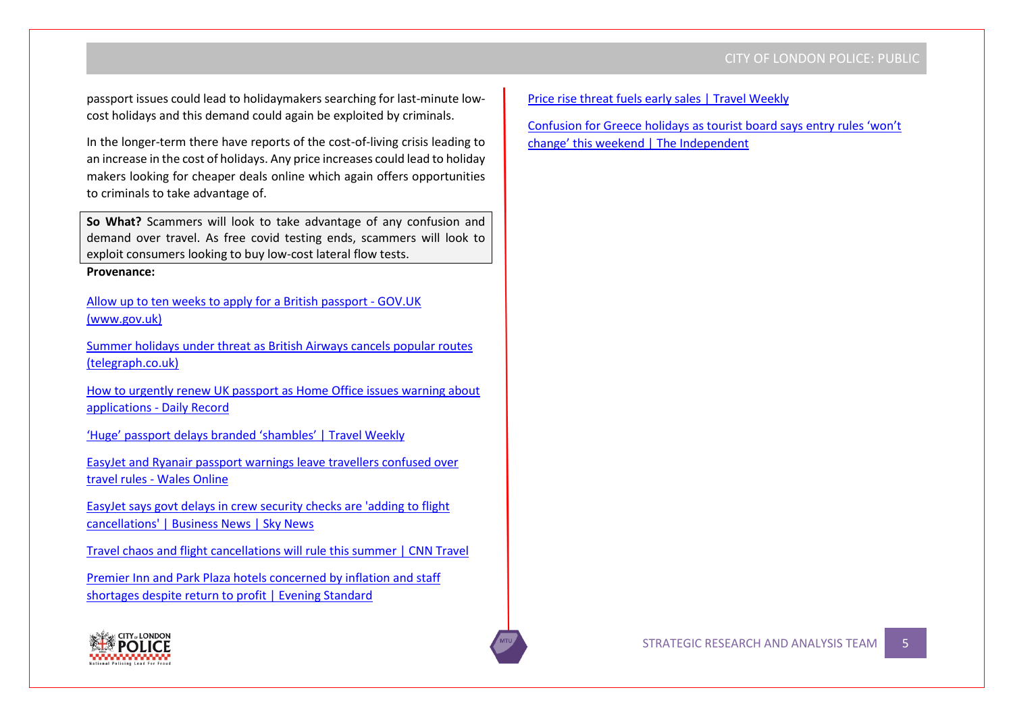passport issues could lead to holidaymakers searching for last-minute lowcost holidays and this demand could again be exploited by criminals.

In the longer-term there have reports of the cost-of-living crisis leading to an increase in the cost of holidays. Any price increases could lead to holiday makers looking for cheaper deals online which again offers opportunities to criminals to take advantage of.

**So What?** Scammers will look to take advantage of any confusion and demand over travel. As free covid testing ends, scammers will look to exploit consumers looking to buy low-cost lateral flow tests.

## **Provenance:**

Allow up to ten weeks to apply for a British passport - GOV.UK (www.gov.uk)

[Summer holidays under threat as British Airways cancels popular routes](https://www.telegraph.co.uk/news/2022/04/21/summer-holidays-threat-british-airways-cancels-popular-routes/)  [\(telegraph.co.uk\)](https://www.telegraph.co.uk/news/2022/04/21/summer-holidays-threat-british-airways-cancels-popular-routes/)

[How to urgently renew UK passport as Home Office issues warning about](https://www.dailyrecord.co.uk/lifestyle/travel/how-urgently-renew-passports-home-26790183)  [applications -](https://www.dailyrecord.co.uk/lifestyle/travel/how-urgently-renew-passports-home-26790183) Daily Record

['Huge' passport delays branded 'shambles' | Travel Weekly](https://travelweekly.co.uk/news/air/huge-passport-delays-branded-shambles)

[EasyJet and Ryanair passport warnings leave travellers confused over](https://www.walesonline.co.uk/news/uk-news/easyjet-ryanair-passport-warnings-leave-23652613)  travel rules - [Wales Online](https://www.walesonline.co.uk/news/uk-news/easyjet-ryanair-passport-warnings-leave-23652613)

[EasyJet says govt delays in crew security checks are 'adding to flight](https://news.sky.com/story/easyjet-blames-government-for-delays-that-are-adding-to-flight-cancellations-12588519)  [cancellations' | Business News | Sky News](https://news.sky.com/story/easyjet-blames-government-for-delays-that-are-adding-to-flight-cancellations-12588519)

[Travel chaos and flight cancellations will rule this summer | CNN Travel](https://edition.cnn.com/travel/article/travel-chaos-summer-2022/index.html)

[Premier Inn and Park Plaza hotels concerned by inflation and staff](https://www.standard.co.uk/business/premier-inn-park-plaza-pphe-whitbread-results-inflation-staff-shortages-b996845.html)  [shortages despite return to profit | Evening Standard](https://www.standard.co.uk/business/premier-inn-park-plaza-pphe-whitbread-results-inflation-staff-shortages-b996845.html)



[Price rise threat fuels early sales | Travel Weekly](https://travelweekly.co.uk/news/tour-operators/price-rise-threat-fuels-early-sales)

[Confusion for Greece holidays as tourist board says entry rules 'won't](https://www.independent.co.uk/travel/news-and-advice/greece-travel-entry-rules-test-latest-b2067312.html)  change' this weeken[d | The Independent](https://www.independent.co.uk/travel/news-and-advice/greece-travel-entry-rules-test-latest-b2067312.html)